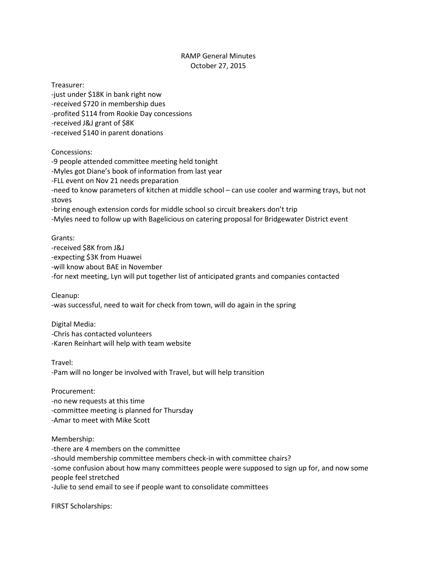## RAMP General Minutes October 27, 2015

Treasurer: -just under \$18K in bank right now -received \$720 in membership dues -profited \$114 from Rookie Day concessions -received J&J grant of \$8K -received \$140 in parent donations Concessions:

-9 people attended committee meeting held tonight -Myles got Diane's book of information from last year -FLL event on Nov 21 needs preparation -need to know parameters of kitchen at middle school – can use cooler and warming trays, but not stoves -bring enough extension cords for middle school so circuit breakers don't trip -Myles need to follow up with Bagelicious on catering proposal for Bridgewater District event

Grants:

-received \$8K from J&J -expecting \$3K from Huawei -will know about BAE in November -for next meeting, Lyn will put together list of anticipated grants and companies contacted

Cleanup: -was successful, need to wait for check from town, will do again in the spring

Digital Media: -Chris has contacted volunteers -Karen Reinhart will help with team website

Travel: -Pam will no longer be involved with Travel, but will help transition

Procurement: -no new requests at this time -committee meeting is planned for Thursday -Amar to meet with Mike Scott

Membership: -there are 4 members on the committee -should membership committee members check-in with committee chairs? -some confusion about how many committees people were supposed to sign up for, and now some people feel stretched -Julie to send email to see if people want to consolidate committees

FIRST Scholarships: